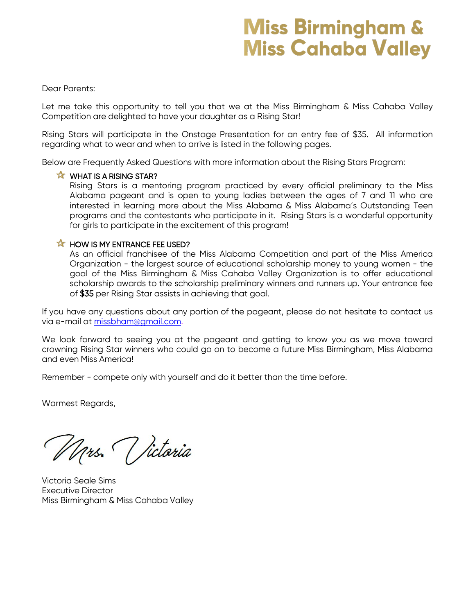# **Miss Birmingham & Miss Cahaba Valley**

#### Dear Parents:

Let me take this opportunity to tell you that we at the Miss Birmingham & Miss Cahaba Valley Competition are delighted to have your daughter as a Rising Star!

Rising Stars will participate in the Onstage Presentation for an entry fee of \$35. All information regarding what to wear and when to arrive is listed in the following pages.

Below are Frequently Asked Questions with more information about the Rising Stars Program:

#### **X** WHAT IS A RISING STAR?

Rising Stars is a mentoring program practiced by every official preliminary to the Miss Alabama pageant and is open to young ladies between the ages of 7 and 11 who are interested in learning more about the Miss Alabama & Miss Alabama's Outstanding Teen programs and the contestants who participate in it. Rising Stars is a wonderful opportunity for girls to participate in the excitement of this program!

#### **K HOW IS MY ENTRANCE FEE USED?**

As an official franchisee of the Miss Alabama Competition and part of the Miss America Organization - the largest source of educational scholarship money to young women - the goal of the Miss Birmingham & Miss Cahaba Valley Organization is to offer educational scholarship awards to the scholarship preliminary winners and runners up. Your entrance fee of \$35 per Rising Star assists in achieving that goal.

If you have any questions about any portion of the pageant, please do not hesitate to contact us via e-mail at [missbham@gmail.com.](mailto:missbham@gmail.com)

We look forward to seeing you at the pageant and getting to know you as we move toward crowning Rising Star winners who could go on to become a future Miss Birmingham, Miss Alabama and even Miss America!

Remember - compete only with yourself and do it better than the time before.

Warmest Regards,

Mrs. Victoria

Victoria Seale Sims Executive Director Miss Birmingham & Miss Cahaba Valley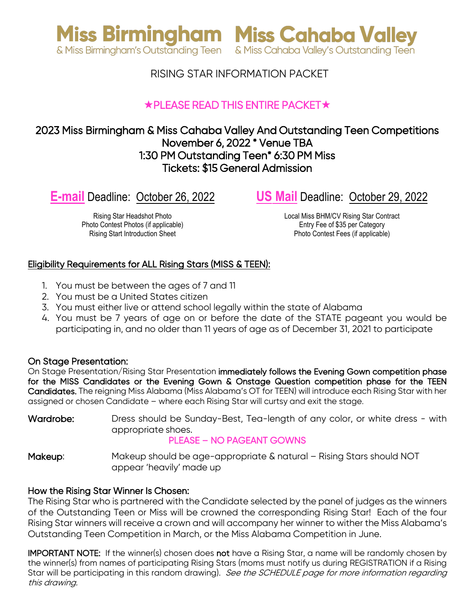



### RISING STAR INFORMATION PACKET

## $\star$ PLEASE READ THIS ENTIRE PACKET $\star$

### 2023 Miss Birmingham & Miss Cahaba Valley And Outstanding Teen Competitions November 6, 2022 \* Venue TBA 1:30 PM Outstanding Teen\* 6:30 PM Miss Tickets: \$15 General Admission

**E-mail** Deadline: October 26, 2022

**US Mail** Deadline: October 29, 2022

Rising Star Headshot Photo Photo Contest Photos (if applicable) Rising Start Introduction Sheet

Local Miss BHM/CV Rising Star Contract Entry Fee of \$35 per Category Photo Contest Fees (if applicable)

#### Eligibility Requirements for ALL Rising Stars (MISS & TEEN):

- 1. You must be between the ages of 7 and 11
- 2. You must be a United States citizen
- 3. You must either live or attend school legally within the state of Alabama
- 4. You must be 7 years of age on or before the date of the STATE pageant you would be participating in, and no older than 11 years of age as of December 31, 2021 to participate

#### On Stage Presentation:

On Stage Presentation/Rising Star Presentation immediately follows the Evening Gown competition phase for the MISS Candidates or the Evening Gown & Onstage Question competition phase for the TEEN Candidates. The reigning Miss Alabama (Miss Alabama's OT for TEEN) will introduce each Rising Star with her assigned or chosen Candidate – where each Rising Star will curtsy and exit the stage.

Wardrobe: Dress should be Sunday-Best, Tea-length of any color, or white dress - with appropriate shoes.

#### PLEASE – NO PAGEANT GOWNS

Makeup: Makeup should be age-appropriate & natural – Rising Stars should NOT appear 'heavily' made up

#### How the Rising Star Winner Is Chosen:

The Rising Star who is partnered with the Candidate selected by the panel of judges as the winners of the Outstanding Teen or Miss will be crowned the corresponding Rising Star! Each of the four Rising Star winners will receive a crown and will accompany her winner to wither the Miss Alabama's Outstanding Teen Competition in March, or the Miss Alabama Competition in June.

IMPORTANT NOTE: If the winner(s) chosen does not have a Rising Star, a name will be randomly chosen by the winner(s) from names of participating Rising Stars (moms must notify us during REGISTRATION if a Rising Star will be participating in this random drawing). See the SCHEDULE page for more information regarding this drawing.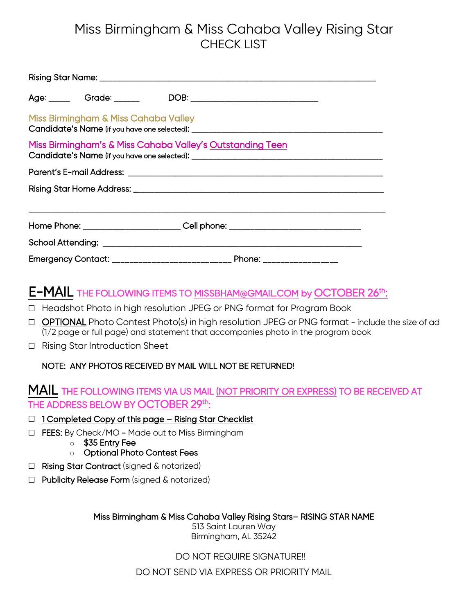# Miss Birmingham & Miss Cahaba Valley Rising Star CHECK LIST

|                                                                                                                          |  | Age: ______ Grade: ______ DOB: _____________________________                     |  |  |  |  |  |
|--------------------------------------------------------------------------------------------------------------------------|--|----------------------------------------------------------------------------------|--|--|--|--|--|
| Miss Birmingham & Miss Cahaba Valley<br>Candidate's Name (if you have one selected): ___________________________________ |  |                                                                                  |  |  |  |  |  |
| Miss Birmingham's & Miss Cahaba Valley's Outstanding Teen                                                                |  |                                                                                  |  |  |  |  |  |
|                                                                                                                          |  |                                                                                  |  |  |  |  |  |
|                                                                                                                          |  |                                                                                  |  |  |  |  |  |
|                                                                                                                          |  | Home Phone: __________________________Cell phone: ______________________________ |  |  |  |  |  |
|                                                                                                                          |  |                                                                                  |  |  |  |  |  |
|                                                                                                                          |  |                                                                                  |  |  |  |  |  |

# E-MAIL THE FOLLOWING ITEMS TO [MISSBHAM@GMAIL.COM](mailto:MISSBHAM@GMAIL.COM) by OCTOBER 26th:

- □ Headshot Photo in high resolution JPEG or PNG format for Program Book
- $\Box$  OPTIONAL Photo Contest Photo(s) in high resolution JPEG or PNG format include the size of ad (1/2 page or full page) and statement that accompanies photo in the program book
- □ Rising Star Introduction Sheet

#### NOTE: ANY PHOTOS RECEIVED BY MAIL WILL NOT BE RETURNED!

## MAIL THE FOLLOWING ITEMS VIA US MAIL (NOT PRIORITY OR EXPRESS) TO BE RECEIVED AT THE ADDRESS BELOW BY OCTOBER 29th:

- □ 1 Completed Copy of this page Rising Star Checklist
- □ FEES: By Check/MO Made out to Miss Birmingham
	- o \$35 Entry Fee
	- o Optional Photo Contest Fees
- □ Rising Star Contract (signed & notarized)
- □ Publicity Release Form (signed & notarized)

Miss Birmingham & Miss Cahaba Valley Rising Stars– RISING STAR NAME

513 Saint Lauren Way Birmingham, AL 35242

DO NOT REQUIRE SIGNATURE!!

DO NOT SEND VIA EXPRESS OR PRIORITY MAIL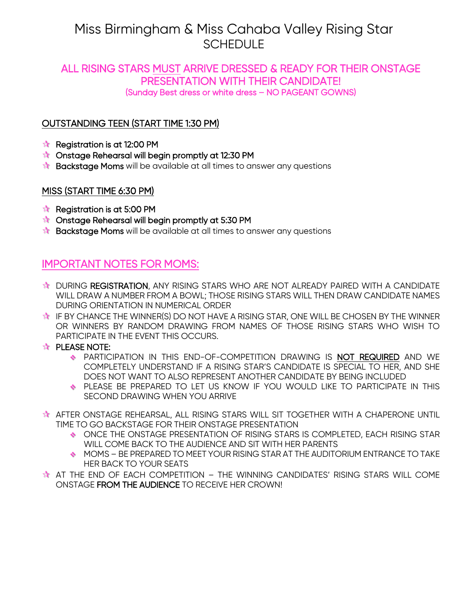# Miss Birmingham & Miss Cahaba Valley Rising Star **SCHEDULE**

# ALL RISING STARS MUST ARRIVE DRESSED & READY FOR THEIR ONSTAGE PRESENTATION WITH THEIR CANDIDATE! (Sunday Best dress or white dress – NO PAGEANT GOWNS)

### OUTSTANDING TEEN (START TIME 1:30 PM)

- Registration is at 12:00 PM
- **th** Onstage Rehearsal will begin promptly at 12:30 PM
- **Backstage Moms** will be available at all times to answer any questions

### MISS (START TIME 6:30 PM)

- $\star$  Registration is at 5:00 PM
- **Constage Rehearsal will begin promptly at 5:30 PM**
- **Backstage Moms** will be available at all times to answer any questions

## IMPORTANT NOTES FOR MOMS:

- **DURING REGISTRATION, ANY RISING STARS WHO ARE NOT ALREADY PAIRED WITH A CANDIDATE** WILL DRAW A NUMBER FROM A BOWL; THOSE RISING STARS WILL THEN DRAW CANDIDATE NAMES DURING ORIENTATION IN NUMERICAL ORDER
- **IF BY CHANCE THE WINNER(S) DO NOT HAVE A RISING STAR, ONE WILL BE CHOSEN BY THE WINNER** OR WINNERS BY RANDOM DRAWING FROM NAMES OF THOSE RISING STARS WHO WISH TO PARTICIPATE IN THE EVENT THIS OCCURS.
- **THE PLEASE NOTE:** 
	- PARTICIPATION IN THIS END-OF-COMPETITION DRAWING IS NOT REQUIRED AND WE COMPLETELY UNDERSTAND IF A RISING STAR'S CANDIDATE IS SPECIAL TO HER, AND SHE DOES NOT WANT TO ALSO REPRESENT ANOTHER CANDIDATE BY BEING INCLUDED
	- PLEASE BE PREPARED TO LET US KNOW IF YOU WOULD LIKE TO PARTICIPATE IN THIS SECOND DRAWING WHEN YOU ARRIVE
- **AFTER ONSTAGE REHEARSAL, ALL RISING STARS WILL SIT TOGETHER WITH A CHAPERONE UNTIL** TIME TO GO BACKSTAGE FOR THEIR ONSTAGE PRESENTATION
	- ONCE THE ONSTAGE PRESENTATION OF RISING STARS IS COMPLETED, EACH RISING STAR WILL COME BACK TO THE AUDIENCE AND SIT WITH HER PARENTS
	- MOMS BE PREPARED TO MEET YOUR RISING STAR AT THE AUDITORIUM ENTRANCE TO TAKE HER BACK TO YOUR SEATS
- **AT THE END OF EACH COMPETITION THE WINNING CANDIDATES' RISING STARS WILL COME** ONSTAGE FROM THE AUDIENCE TO RECEIVE HER CROWN!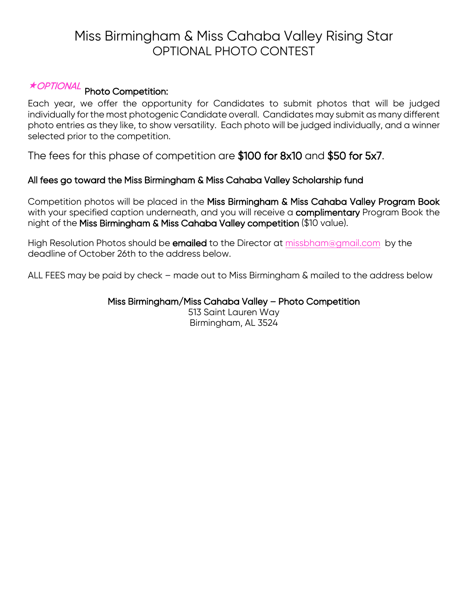# Miss Birmingham & Miss Cahaba Valley Rising Star OPTIONAL PHOTO CONTEST

# OPTIONAL Photo Competition:

Each year, we offer the opportunity for Candidates to submit photos that will be judged individually for the most photogenic Candidate overall. Candidates may submit as many different photo entries as they like, to show versatility. Each photo will be judged individually, and a winner selected prior to the competition.

The fees for this phase of competition are \$100 for 8x10 and \$50 for 5x7.

#### All fees go toward the Miss Birmingham & Miss Cahaba Valley Scholarship fund

Competition photos will be placed in the Miss Birmingham & Miss Cahaba Valley Program Book with your specified caption underneath, and you will receive a complimentary Program Book the night of the Miss Birmingham & Miss Cahaba Valley competition (\$10 value).

High Resolution Photos should be emailed to the Director at [missbham@gmail.com](mailto:missbham@gmail.com) by the deadline of October 26th to the address below.

ALL FEES may be paid by check – made out to Miss Birmingham & mailed to the address below

#### Miss Birmingham/Miss Cahaba Valley – Photo Competition

513 Saint Lauren Way Birmingham, AL 3524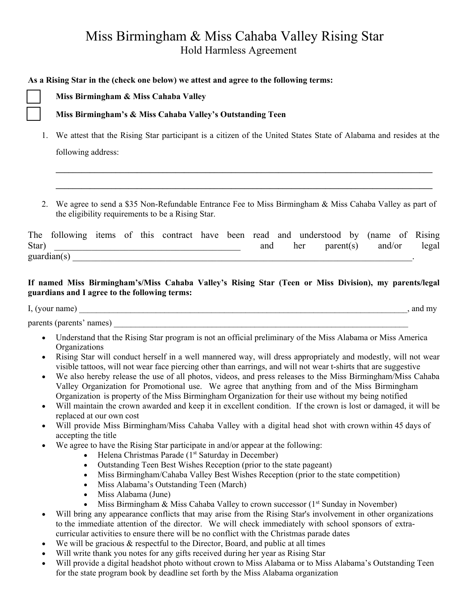# Miss Birmingham & Miss Cahaba Valley Rising Star Hold Harmless Agreement

#### **As a Rising Star in the (check one below) we attest and agree to the following terms:**

**□ Miss Birmingham & Miss Cahaba Valley**

#### **□ Miss Birmingham's & Miss Cahaba Valley's Outstanding Teen**

1. We attest that the Rising Star participant is a citizen of the United States State of Alabama and resides at the following address:

**\_\_\_\_\_\_\_\_\_\_\_\_\_\_\_\_\_\_\_\_\_\_\_\_\_\_\_\_\_\_\_\_\_\_\_\_\_\_\_\_\_\_\_\_\_\_\_\_\_\_\_\_\_\_\_\_\_\_\_\_\_\_\_\_\_\_\_\_\_\_\_\_\_\_\_\_\_\_\_\_\_\_\_\_\_\_\_\_**

**\_\_\_\_\_\_\_\_\_\_\_\_\_\_\_\_\_\_\_\_\_\_\_\_\_\_\_\_\_\_\_\_\_\_\_\_\_\_\_\_\_\_\_\_\_\_\_\_\_\_\_\_\_\_\_\_\_\_\_\_\_\_\_\_\_\_\_\_\_\_\_\_\_\_\_\_\_\_\_\_\_\_\_\_\_\_\_\_**

2. We agree to send a \$35 Non-Refundable Entrance Fee to Miss Birmingham & Miss Cahaba Valley as part of the eligibility requirements to be a Rising Star.

|       |                      |  |  |  |     | The following items of this contract have been read and understood by (name of Rising |                    |       |
|-------|----------------------|--|--|--|-----|---------------------------------------------------------------------------------------|--------------------|-------|
| Star) |                      |  |  |  | and | her                                                                                   | $parent(s)$ and/or | legal |
|       | $\text{quardian}(s)$ |  |  |  |     |                                                                                       |                    |       |

#### **If named Miss Birmingham's/Miss Cahaba Valley's Rising Star (Teen or Miss Division), my parents/legal guardians and I agree to the following terms:**

I, (your name) \_\_\_\_\_\_\_\_\_\_\_\_\_\_\_\_\_\_\_\_\_\_\_\_\_\_\_\_\_\_\_\_\_\_\_\_\_\_\_\_\_\_\_\_\_\_\_\_\_\_\_\_\_\_\_\_\_\_\_\_\_\_\_\_\_\_\_\_\_\_\_\_\_\_\_\_\_, and my

parents (parents' names)

- Understand that the Rising Star program is not an official preliminary of the Miss Alabama or Miss America Organizations
- Rising Star will conduct herself in a well mannered way, will dress appropriately and modestly, will not wear visible tattoos, will not wear face piercing other than earrings, and will not wear t-shirts that are suggestive
- We also hereby release the use of all photos, videos, and press releases to the Miss Birmingham/Miss Cahaba Valley Organization for Promotional use. We agree that anything from and of the Miss Birmingham Organization is property of the Miss Birmingham Organization for their use without my being notified
- Will maintain the crown awarded and keep it in excellent condition. If the crown is lost or damaged, it will be replaced at our own cost
- Will provide Miss Birmingham/Miss Cahaba Valley with a digital head shot with crown within 45 days of accepting the title
- We agree to have the Rising Star participate in and/or appear at the following:
	- Helena Christmas Parade  $(1^{st}$  Saturday in December)
	- Outstanding Teen Best Wishes Reception (prior to the state pageant)
	- Miss Birmingham/Cahaba Valley Best Wishes Reception (prior to the state competition)
	- Miss Alabama's Outstanding Teen (March)
	- Miss Alabama (June)
	- Miss Birmingham & Miss Cahaba Valley to crown successor  $(1<sup>st</sup> Sunday in November)$
- Will bring any appearance conflicts that may arise from the Rising Star's involvement in other organizations to the immediate attention of the director. We will check immediately with school sponsors of extracurricular activities to ensure there will be no conflict with the Christmas parade dates
- We will be gracious  $\&$  respectful to the Director, Board, and public at all times
- Will write thank you notes for any gifts received during her year as Rising Star
- Will provide a digital headshot photo without crown to Miss Alabama or to Miss Alabama's Outstanding Teen for the state program book by deadline set forth by the Miss Alabama organization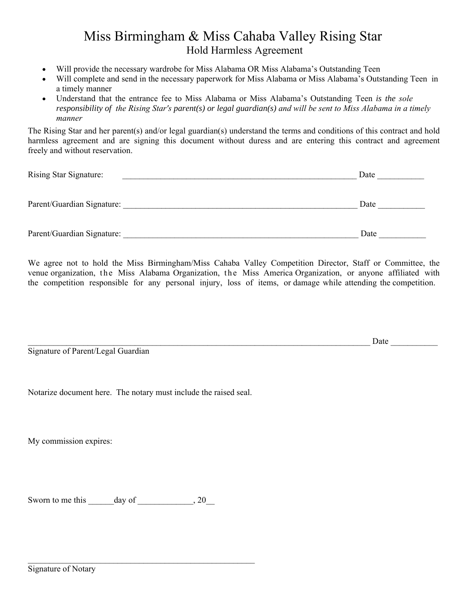## Miss Birmingham & Miss Cahaba Valley Rising Star Hold Harmless Agreement

- Will provide the necessary wardrobe for Miss Alabama OR Miss Alabama's Outstanding Teen
- Will complete and send in the necessary paperwork for Miss Alabama or Miss Alabama's Outstanding Teen in a timely manner
- Understand that the entrance fee to Miss Alabama or Miss Alabama's Outstanding Teen *is the sole responsibility of the Rising Star's parent(s) or legal guardian(s) and will be sent to Miss Alabama in a timely manner*

The Rising Star and her parent(s) and/or legal guardian(s) understand the terms and conditions of this contract and hold harmless agreement and are signing this document without duress and are entering this contract and agreement freely and without reservation.

| Rising Star Signature:     | Date |
|----------------------------|------|
| Parent/Guardian Signature: | Date |
| Parent/Guardian Signature: | Date |

We agree not to hold the Miss Birmingham/Miss Cahaba Valley Competition Director, Staff or Committee, the venue organization, the Miss Alabama Organization, the Miss America Organization, or anyone affiliated with the competition responsible for any personal injury, loss of items, or damage while attending the competition.

Signature of Parent/Legal Guardian

Notarize document here. The notary must include the raised seal.

My commission expires:

Sworn to me this day of  $\qquad \qquad , 20$ 

\_\_\_\_\_\_\_\_\_\_\_\_\_\_\_\_\_\_\_\_\_\_\_\_\_\_\_\_\_\_\_\_\_\_\_\_\_\_\_\_\_\_\_\_\_\_\_\_\_\_\_\_\_

Date  $\Box$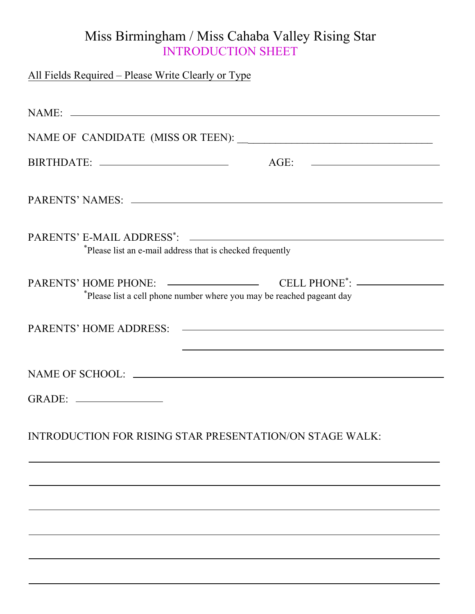# Miss Birmingham / Miss Cahaba Valley Rising Star INTRODUCTION SHEET

| All Fields Required – Please Write Clearly or Type                    |
|-----------------------------------------------------------------------|
|                                                                       |
|                                                                       |
|                                                                       |
|                                                                       |
| *Please list an e-mail address that is checked frequently             |
| *Please list a cell phone number where you may be reached pageant day |
|                                                                       |
|                                                                       |
|                                                                       |
| <b>INTRODUCTION FOR RISING STAR PRESENTATION/ON STAGE WALK:</b>       |
|                                                                       |
|                                                                       |
|                                                                       |
|                                                                       |